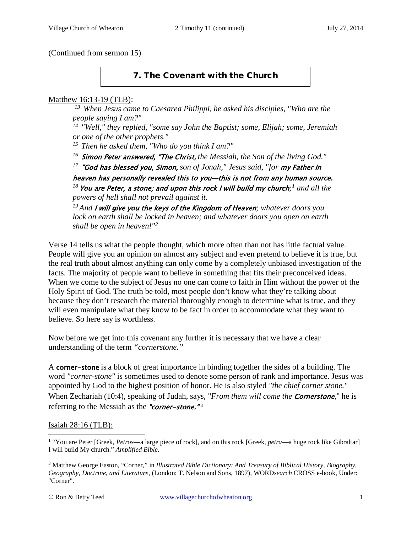(Continued from sermon 15)

# 7. The Covenant with the Church

#### Matthew 16:13-19 (TLB):

*13 When Jesus came to Caesarea Philippi, he asked his disciples, "Who are the people saying I am?"* 

*14 "Well," they replied, "some say John the Baptist; some, Elijah; some, Jeremiah or one of the other prophets."* 

*15 Then he asked them, "Who do you think I am?"* 

<sup>16</sup> Simon Peter answered, "The Christ, the Messiah, the Son of the living God."

*<sup>17</sup>*"God has blessed you, Simon, *son of Jonah," Jesus said, "for* my Father in

heaven has personally revealed this to you—this is not from any human source. *<sup>18</sup>*You are Peter, a stone; and upon this rock I will build my church*;[1](#page-0-0) and all the powers of hell shall not prevail against it.*

*19 And* I will give you the keys of the Kingdom of Heaven*; whatever doors you lock on earth shall be locked in heaven; and whatever doors you open on earth shall be open in heaven!"[2](#page-0-1)*

Verse 14 tells us what the people thought, which more often than not has little factual value. People will give you an opinion on almost any subject and even pretend to believe it is true, but the real truth about almost anything can only come by a completely unbiased investigation of the facts. The majority of people want to believe in something that fits their preconceived ideas. When we come to the subject of Jesus no one can come to faith in Him without the power of the Holy Spirit of God. The truth be told, most people don't know what they're talking about because they don't research the material thoroughly enough to determine what is true, and they will even manipulate what they know to be fact in order to accommodate what they want to believe. So here say is worthless.

Now before we get into this covenant any further it is necessary that we have a clear understanding of the term *"cornerstone."*

A corner-stone is a block of great importance in binding together the sides of a building. The word *"corner-stone"* is sometimes used to denote some person of rank and importance. Jesus was appointed by God to the highest position of honor. He is also styled *"the chief corner stone."* When Zechariah [\(10:4\)](http://www.crossbooks.com/verse.asp?ref=Zec+10%3A4), speaking of Judah, says, "*From them will come the Cornerstone*," he is referring to the Messiah as the "corner-stone." $3$ 

### Isaiah 28:16 (TLB):

<span id="page-0-0"></span><sup>1</sup> "You are Peter [Greek, *Petros*—a large piece of rock], and on this rock [Greek, *petra*—a huge rock like Gibraltar] I will build My church." *Amplified Bible.*   $\overline{a}$ 

<span id="page-0-2"></span><span id="page-0-1"></span><sup>3</sup> Matthew George Easton, "Corner," in *Illustrated Bible Dictionary: And Treasury of Biblical History, Biography, Geography, Doctrine, and Literature*, (London: T. Nelson and Sons, 1897), WORD*search* CROSS e-book, Under: "Corner".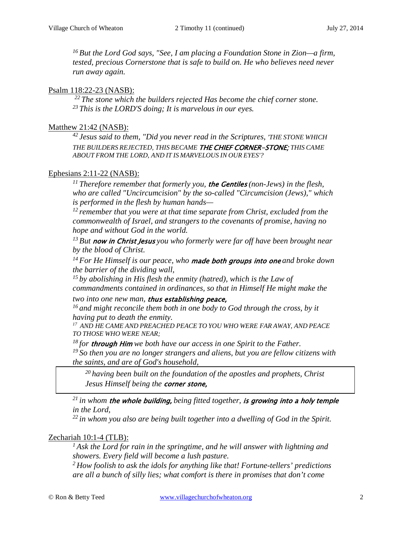*16 But the Lord God says, "See, I am placing a Foundation Stone in Zion—a firm, tested, precious Cornerstone that is safe to build on. He who believes need never run away again.*

## Psalm 118:22-23 (NASB):

*22 The stone which the builders rejected Has become the chief corner stone. 23 This is the LORD'S doing; It is marvelous in our eyes.* 

## Matthew 21:42 (NASB):

*42 Jesus said to them, "Did you never read in the Scriptures, 'THE STONE WHICH THE BUILDERS REJECTED, THIS BECAME* THE CHIEF CORNER-STONE; *THIS CAME ABOUT FROM THE LORD, AND IT IS MARVELOUS IN OUR EYES'?*

# Ephesians 2:11-22 (NASB):

*11 Therefore remember that formerly you,* the Gentiles *(non-Jews) in the flesh, who are called "Uncircumcision" by the so-called "Circumcision (Jews)," which is performed in the flesh by human hands—*

*12 remember that you were at that time separate from Christ, excluded from the commonwealth of Israel, and strangers to the covenants of promise, having no hope and without God in the world.* 

*13 But* now in Christ Jesus *you who formerly were far off have been brought near by the blood of Christ.* 

*14 For He Himself is our peace, who* made both groups into one *and broke down the barrier of the dividing wall,* 

<sup>15</sup> by abolishing in His flesh the enmity (hatred), which is the Law of *commandments contained in ordinances, so that in Himself He might make the* 

*two into one new man,* thus establishing peace,

*16 and might reconcile them both in one body to God through the cross, by it having put to death the enmity.* 

*17 AND HE CAME AND PREACHED PEACE TO YOU WHO WERE FAR AWAY, AND PEACE TO THOSE WHO WERE NEAR;* 

*18 for* through Him *we both have our access in one Spirit to the Father. 19 So then you are no longer strangers and aliens, but you are fellow citizens with the saints, and are of God's household,*

*20 having been built on the foundation of the apostles and prophets, Christ Jesus Himself being the* corner stone,

*21 in whom* the whole building, *being fitted together,* is growing into a holy temple *in the Lord,* 

*22 in whom you also are being built together into a dwelling of God in the Spirit.*

### Zechariah 10:1-4 (TLB):

*1 Ask the Lord for rain in the springtime, and he will answer with lightning and showers. Every field will become a lush pasture.* 

*2 How foolish to ask the idols for anything like that! Fortune-tellers' predictions are all a bunch of silly lies; what comfort is there in promises that don't come*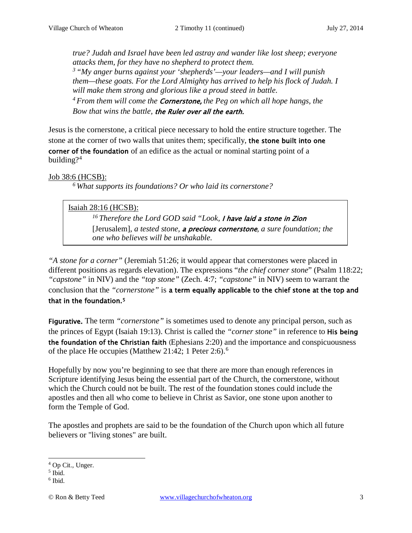*true? Judah and Israel have been led astray and wander like lost sheep; everyone attacks them, for they have no shepherd to protect them. 3 "My anger burns against your 'shepherds'—your leaders—and I will punish them—these goats. For the Lord Almighty has arrived to help his flock of Judah. I will make them strong and glorious like a proud steed in battle. 4 From them will come the* Cornerstone, *the Peg on which all hope hangs, the Bow that wins the battle,* the Ruler over all the earth.

Jesus is the cornerstone, a critical piece necessary to hold the entire structure together. The stone at the corner of two walls that unites them; specifically, the stone built into one corner of the foundation of an edifice as the actual or nominal starting point of a building? $4$ 

### Job 38:6 (HCSB):

*6 What supports its foundations? Or who laid its cornerstone?*

### Isaiah 28:16 (HCSB):

*16 Therefore the Lord GOD said "Look,* I have laid a stone in Zion [Jerusalem], *a tested stone,* a precious cornerstone*, a sure foundation; the one who believes will be unshakable.*

*"A stone for a corner"* [\(Jeremiah 51:26;](http://www.crossbooks.com/verse.asp?ref=Jer+51%3A26) it would appear that cornerstones were placed in different positions as regards elevation). The expressions "*the chief corner stone*" [\(Psalm 118:22;](http://www.crossbooks.com/verse.asp?ref=Ps+118%3A22) *"capstone"* in NIV) and the *"top stone"* [\(Zech. 4:7;](http://www.crossbooks.com/verse.asp?ref=Zec+4%3A7) *"capstone"* in NIV) seem to warrant the conclusion that the *"cornerstone"* is a term equally applicable to the chief stone at the top and that in the foundation.[5](#page-2-1)

Figurative. The term *"cornerstone"* is sometimes used to denote any principal person, such as the princes of Egypt [\(Isaiah 19:13\)](http://www.crossbooks.com/verse.asp?ref=Isa+19%3A13). Christ is called the *"corner stone"* in reference to His being the foundation of the Christian faith ([Ephesians 2:20\)](http://www.crossbooks.com/verse.asp?ref=Eph+2%3A20) and the importance and conspicuousness of the place He occupies [\(Matthew 21:42;](http://www.crossbooks.com/verse.asp?ref=Mt+21%3A42) [1 Peter 2:6\)](http://www.crossbooks.com/verse.asp?ref=1Pe+2%3A6).<sup>[6](#page-2-2)</sup>

Hopefully by now you're beginning to see that there are more than enough references in Scripture identifying Jesus being the essential part of the Church, the cornerstone, without which the Church could not be built. The rest of the foundation stones could include the apostles and then all who come to believe in Christ as Savior, one stone upon another to form the Temple of God.

The apostles and prophets are said to be the foundation of the Church upon which all future believers or "living stones" are built.

<span id="page-2-0"></span><sup>4</sup> Op Cit., Unger.  $\overline{a}$ 

<span id="page-2-1"></span> $<sup>5</sup>$  Ibid.</sup>

<span id="page-2-2"></span> $6$  Ibid.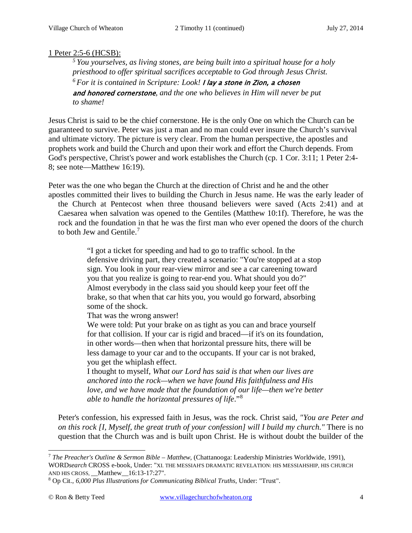# 1 Peter 2:5-6 (HCSB):

*5 You yourselves, as living stones, are being built into a spiritual house for a holy priesthood to offer spiritual sacrifices acceptable to God through Jesus Christ. 6 For it is contained in Scripture: Look!* I lay a stone in Zion, a chosen and honored cornerstone*, and the one who believes in Him will never be put to shame!*

Jesus Christ is said to be the chief cornerstone. He is the only One on which the Church can be guaranteed to survive. Peter was just a man and no man could ever insure the Church's survival and ultimate victory. The picture is very clear. From the human perspective, the apostles and prophets work and build the Church and upon their work and effort the Church depends. From God's perspective, Christ's power and work establishes the Church (cp. [1 Cor. 3:11;](http://www.crossbooks.com/verse.asp?ref=1Co+3%3A11) [1 Peter 2:4-](http://www.crossbooks.com/verse.asp?ref=1Pe+2%3A4-8) [8;](http://www.crossbooks.com/verse.asp?ref=1Pe+2%3A4-8) see note—Matthew 16:19).

Peter was the one who began the Church at the direction of Christ and he and the other apostles committed their lives to building the Church in Jesus name. He was the early leader of the Church at Pentecost when three thousand believers were saved [\(Acts 2:41\)](http://www.crossbooks.com/verse.asp?ref=Ac+2%3A41) and at Caesarea when salvation was opened to the Gentiles [\(Matthew 10:1f\)](http://www.crossbooks.com/verse.asp?ref=Mt+10%3A1). Therefore, he was the rock and the foundation in that he was the first man who ever opened the doors of the church to both Jew and Gentile.<sup>[7](#page-3-0)</sup>

> "I got a ticket for speeding and had to go to traffic school. In the defensive driving part, they created a scenario: "You're stopped at a stop sign. You look in your rear-view mirror and see a car careening toward you that you realize is going to rear-end you. What should you do?" Almost everybody in the class said you should keep your feet off the brake, so that when that car hits you, you would go forward, absorbing some of the shock.

That was the wrong answer!

We were told: Put your brake on as tight as you can and brace yourself for that collision. If your car is rigid and braced—if it's on its foundation, in other words—then when that horizontal pressure hits, there will be less damage to your car and to the occupants. If your car is not braked, you get the whiplash effect.

I thought to myself, *What our Lord has said is that when our lives are anchored into the rock—when we have found His faithfulness and His love, and we have made that the foundation of our life—then we're better able to handle the horizontal pressures of life*."[8](#page-3-1)

Peter's confession, his expressed faith in Jesus, was the rock. Christ said, *"You are Peter and on this rock [I, Myself, the great truth of your confession] will I build my church."* There is no question that the Church was and is built upon Christ. He is without doubt the builder of the

<span id="page-3-0"></span><sup>7</sup> *The Preacher's Outline & Sermon Bible – Matthew*, (Chattanooga: Leadership Ministries Worldwide, 1991), WORD*search* CROSS e-book, Under: "XI. THE MESSIAH'S DRAMATIC REVELATION: HIS MESSIAHSHIP, HIS CHURCH AND HIS CROSS, \_\_Matthew\_\_16:13-17:27".  $\overline{a}$ 

<span id="page-3-1"></span><sup>8</sup> Op Cit., *6,000 Plus Illustrations for Communicating Biblical Truths*, Under: "Trust".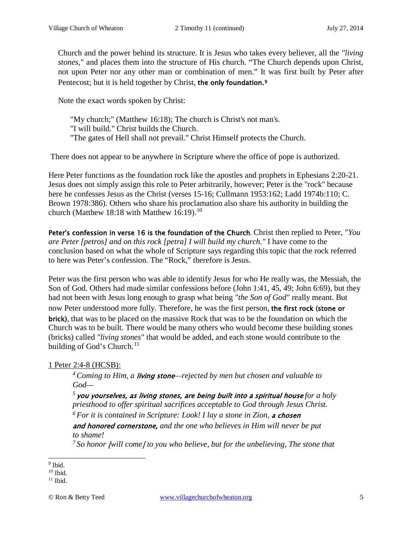Church and the power behind its structure. It is Jesus who takes every believer, all the *"living stones,"* and places them into the structure of His church. "The Church depends upon Christ, not upon Peter nor any other man or combination of men." It was first built by Peter after Pentecost; but it is held together by Christ, the only foundation.<sup>[9](#page-4-0)</sup>

Note the exact words spoken by Christ:

"My church;" (Matthew 16:18); The church is Christ's not man's. "I will build." Christ builds the Church. "The gates of Hell shall not prevail." Christ Himself protects the Church.

There does not appear to be anywhere in Scripture where the office of pope is authorized.

Here Peter functions as the foundation rock like the apostles and prophets in [Ephesians 2:20-21.](http://www.crossbooks.com/verse.asp?ref=Eph+2%3A20-21) Jesus does not simply assign this role to Peter arbitrarily, however; Peter is the "rock" because here he confesses Jesus as the Christ [\(verses 15-16;](http://www.crossbooks.com/verse.asp?ref=Mt+16%3A15-16) Cullmann 1953:162; Ladd 1974b:110; C. Brown 1978:386). Others who share his proclamation also share his authority in building the church [\(Matthew 18:18](http://www.crossbooks.com/verse.asp?ref=Mt+18%3A18) with [Matthew 16:19\)](http://www.crossbooks.com/verse.asp?ref=Mt+16%3A19).<sup>[10](#page-4-1)</sup>

Peter's confession in verse 16 is the foundation of the Church. Christ then replied to Peter, *"You are Peter [petros] and on this rock [petra] I will build my church."* I have come to the conclusion based on what the whole of Scripture says regarding this topic that the rock referred to here was Peter's confession. The "Rock," therefore is Jesus.

Peter was the first person who was able to identify Jesus for who He really was, the Messiah, the Son of God. Others had made similar confessions before [\(John 1:41,](http://www.crossbooks.com/verse.asp?ref=Jn+1%3A41) [45,](http://www.crossbooks.com/verse.asp?ref=Jn+1%3A45) [49;](http://www.crossbooks.com/verse.asp?ref=Jn+1%3A49) [John 6:69\)](http://www.crossbooks.com/verse.asp?ref=Jn+6%3A69), but they had not been with Jesus long enough to grasp what being *"the Son of God"* really meant. But now Peter understood more fully. Therefore, he was the first person, the first rock (stone or brick), that was to be placed on the massive Rock that was to be the foundation on which the Church was to be built. There would be many others who would become these building stones (bricks) called *"living stones"* that would be added, and each stone would contribute to the building of God's Church. $11$ 

1 Peter 2:4-8 (HCSB):

*4 Coming to Him, a* living stone*—rejected by men but chosen and valuable to God—*

*<sup>5</sup>*you yourselves, as living stones, are being built into a spiritual house *for a holy priesthood to offer spiritual sacrifices acceptable to God through Jesus Christ. 6 For it is contained in Scripture: Look! I lay a stone in Zion,* a chosen

and honored cornerstone, *and the one who believes in Him will never be put to shame!* 

<sup>7</sup> So honor *[will come]* to you who believe, but for the unbelieving, The stone that

<span id="page-4-0"></span><sup>&</sup>lt;sup>9</sup> Ibid.  $\overline{a}$ 

<span id="page-4-1"></span> $10$  Ibid.

<span id="page-4-2"></span> $11$  Ibid.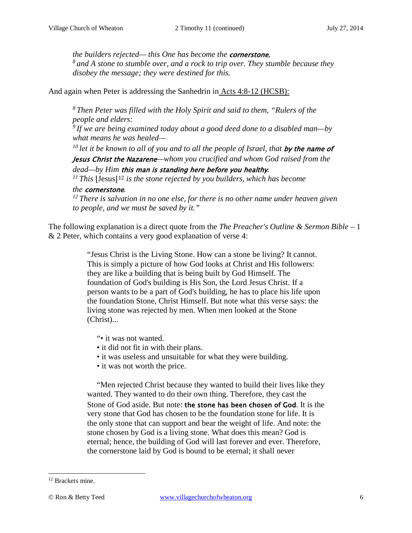*the builders rejected— this One has become the* cornerstone*, 8 and A stone to stumble over, and a rock to trip over. They stumble because they disobey the message; they were destined for this.* 

And again when Peter is addressing the Sanhedrin in Acts 4:8-12 (HCSB):

*8 Then Peter was filled with the Holy Spirit and said to them, "Rulers of the people and elders: 9 If we are being examined today about a good deed done to a disabled man—by what means he was healed—*

<sup>10</sup> let it be known to all of you and to all the people of Israel, that **by the name of** 

Jesus Christ the Nazarene*—whom you crucified and whom God raised from the* 

*dead—by Him this man is standing here before you healthy.<br><sup>11</sup> This |Jesus<sup>|12</sup> <i>is the stone rejected by you builders, which has become* 

### *the* cornerstone*.*

*12 There is salvation in no one else, for there is no other name under heaven given to people, and we must be saved by it."* 

The following explanation is a direct quote from the *The Preacher's Outline & Sermon Bible –* 1 & 2 Peter, which contains a very good explanation of verse 4:

> "Jesus Christ is the Living Stone. How can a stone be living? It cannot. This is simply a picture of how God looks at Christ and His followers: they are like a building that is being built by God Himself. The foundation of God's building is His Son, the Lord Jesus Christ. If a person wants to be a part of God's building, he has to place his life upon the foundation Stone, Christ Himself. But note what this verse says: the living stone was rejected by men. When men looked at the Stone (Christ)...

"• it was not wanted.

- it did not fit in with their plans.
- it was useless and unsuitable for what they were building.
- it was not worth the price.

"Men rejected Christ because they wanted to build their lives like they wanted. They wanted to do their own thing. Therefore, they cast the Stone of God aside. But note: the stone has been chosen of God. It is the very stone that God has chosen to be the foundation stone for life. It is the only stone that can support and bear the weight of life. And note: the stone chosen by God is a living stone. What does this mean? God is eternal; hence, the building of God will last forever and ever. Therefore, the cornerstone laid by God is bound to be eternal; it shall never

 $\overline{a}$ 

<span id="page-5-0"></span><sup>&</sup>lt;sup>12</sup> Brackets mine.